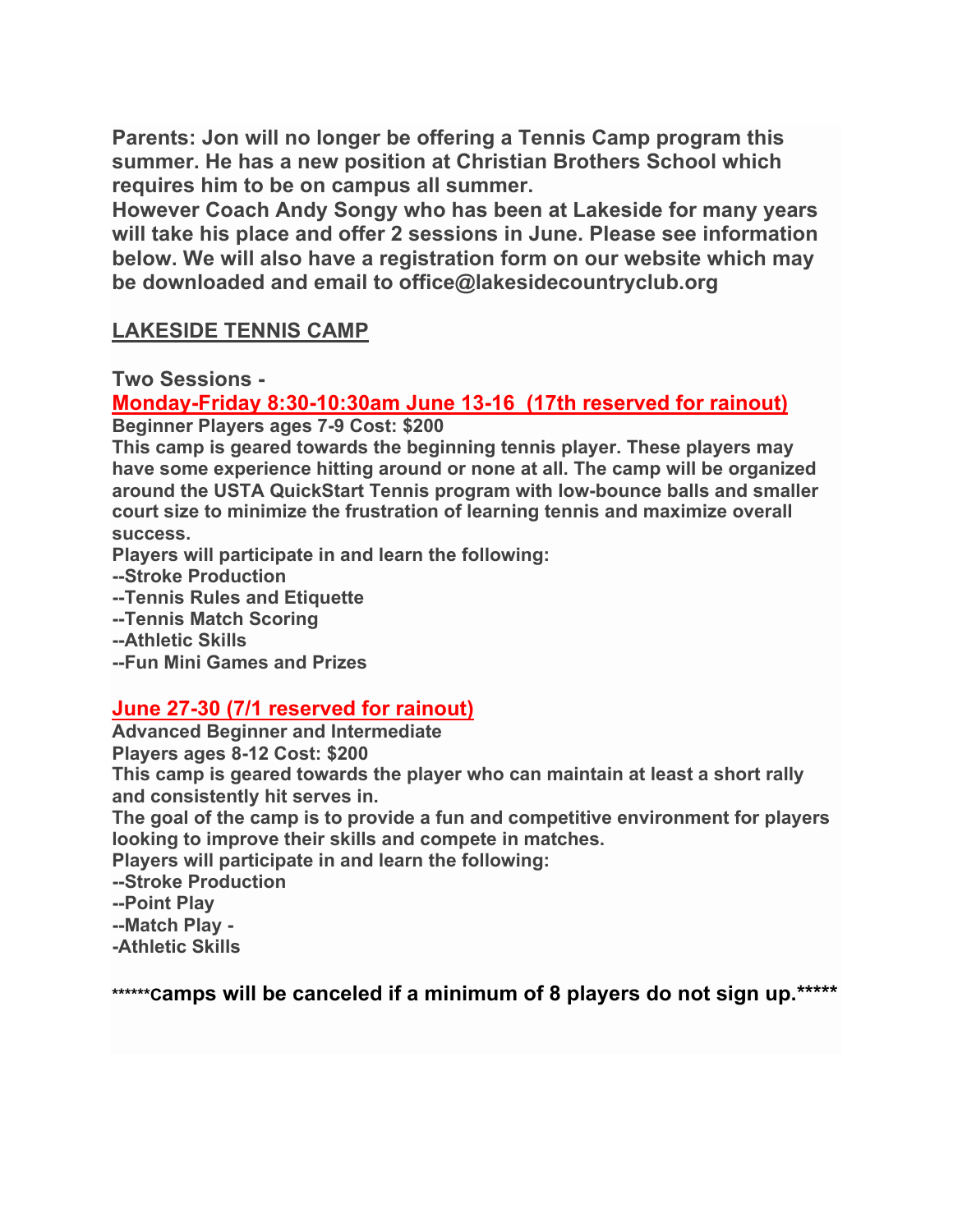**Parents: Jon will no longer be offering a Tennis Camp program this summer. He has a new position at Christian Brothers School which requires him to be on campus all summer.**

**However Coach Andy Songy who has been at Lakeside for many years will take his place and offer 2 sessions in June. Please see information below. We will also have a registration form on our website which may be downloaded and email to office@lakesidecountryclub.org**

## **LAKESIDE TENNIS CAMP**

**Two Sessions -**

## **Monday-Friday 8:30-10:30am June 13-16 (17th reserved for rainout)**

**Beginner Players ages 7-9 Cost: \$200**

**This camp is geared towards the beginning tennis player. These players may have some experience hitting around or none at all. The camp will be organized around the USTA QuickStart Tennis program with low-bounce balls and smaller court size to minimize the frustration of learning tennis and maximize overall success.**

**Players will participate in and learn the following:**

- **--Stroke Production**
- **--Tennis Rules and Etiquette**
- **--Tennis Match Scoring**
- **--Athletic Skills**
- **--Fun Mini Games and Prizes**

## **June 27-30 (7/1 reserved for rainout)**

**Advanced Beginner and Intermediate**

**Players ages 8-12 Cost: \$200**

**This camp is geared towards the player who can maintain at least a short rally and consistently hit serves in.**

**The goal of the camp is to provide a fun and competitive environment for players looking to improve their skills and compete in matches.**

**Players will participate in and learn the following:**

**--Stroke Production**

**--Point Play**

**--Match Play -**

**-Athletic Skills**

**\*\*\*\*\*\*Camps will be canceled if a minimum of 8 players do not sign up.\*\*\*\*\***